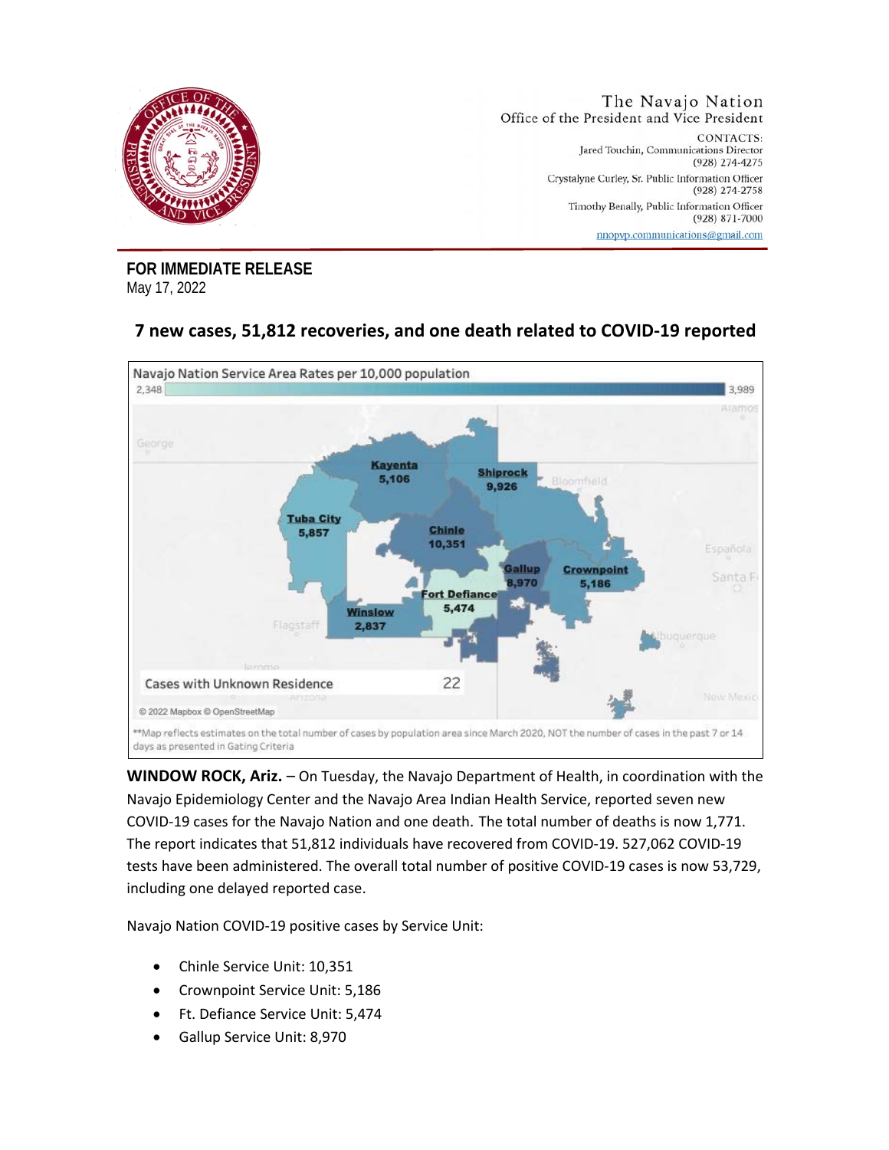

**FOR IMMEDIATE RELEASE** May 17, 2022

## **7 new cases, 51,812 recoveries, and one death related to COVID-19 reported**



**WINDOW ROCK, Ariz.** – On Tuesday, the Navajo Department of Health, in coordination with the Navajo Epidemiology Center and the Navajo Area Indian Health Service, reported seven new COVID-19 cases for the Navajo Nation and one death. The total number of deaths is now 1,771. The report indicates that 51,812 individuals have recovered from COVID-19. 527,062 COVID-19 tests have been administered. The overall total number of positive COVID-19 cases is now 53,729, including one delayed reported case.

Navajo Nation COVID-19 positive cases by Service Unit:

- Chinle Service Unit: 10,351
- Crownpoint Service Unit: 5,186
- Ft. Defiance Service Unit: 5,474
- Gallup Service Unit: 8,970